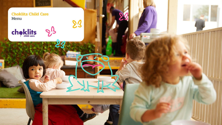